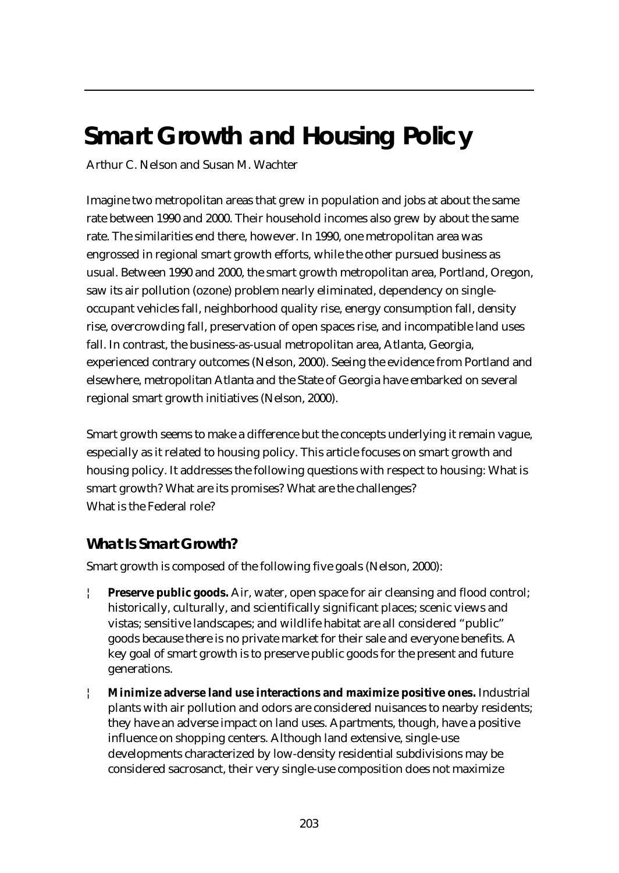# **Smart Growth and Housing Policy**

Arthur C. Nelson and Susan M. Wachter

Imagine two metropolitan areas that grew in population and jobs at about the same rate between 1990 and 2000. Their household incomes also grew by about the same rate. The similarities end there, however. In 1990, one metropolitan area was engrossed in regional smart growth efforts, while the other pursued business as usual. Between 1990 and 2000, the smart growth metropolitan area, Portland, Oregon, saw its air pollution (ozone) problem nearly eliminated, dependency on singleoccupant vehicles fall, neighborhood quality rise, energy consumption fall, density rise, overcrowding fall, preservation of open spaces rise, and incompatible land uses fall. In contrast, the business-as-usual metropolitan area, Atlanta, Georgia, experienced contrary outcomes (Nelson, 2000). Seeing the evidence from Portland and elsewhere, metropolitan Atlanta and the State of Georgia have embarked on several regional smart growth initiatives (Nelson, 2000).

Smart growth seems to make a difference but the concepts underlying it remain vague, especially as it related to housing policy. This article focuses on smart growth and housing policy. It addresses the following questions with respect to housing: What is smart growth? What are its promises? What are the challenges? What is the Federal role?

# **What Is Smart Growth?**

Smart growth is composed of the following five goals (Nelson, 2000):

- **Preserve public goods.** Air, water, open space for air cleansing and flood control; historically, culturally, and scientifically significant places; scenic views and vistas; sensitive landscapes; and wildlife habitat are all considered "public" goods because there is no private market for their sale and everyone benefits. A key goal of smart growth is to preserve public goods for the present and future generations.
- ¦ **Minimize adverse land use interactions and maximize positive ones.** Industrial plants with air pollution and odors are considered nuisances to nearby residents; they have an adverse impact on land uses. Apartments, though, have a positive influence on shopping centers. Although land extensive, single-use developments characterized by low-density residential subdivisions may be considered sacrosanct, their very single-use composition does not maximize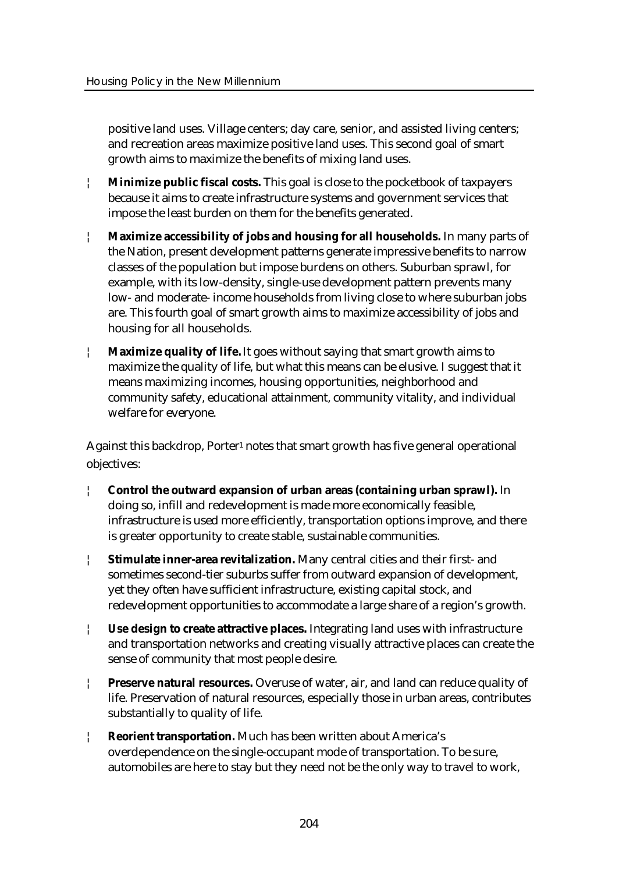positive land uses. Village centers; day care, senior, and assisted living centers; and recreation areas maximize positive land uses. This second goal of smart growth aims to maximize the benefits of mixing land uses.

- ¦ **Minimize public fiscal costs.** This goal is close to the pocketbook of taxpayers because it aims to create infrastructure systems and government services that impose the least burden on them for the benefits generated.
- ¦ **Maximize accessibility of jobs and housing for all households.** In many parts of the Nation, present development patterns generate impressive benefits to narrow classes of the population but impose burdens on others. Suburban sprawl, for example, with its low-density, single-use development pattern prevents many low- and moderate- income households from living close to where suburban jobs are. This fourth goal of smart growth aims to maximize accessibility of jobs and housing for all households.
- **Maximize quality of life.** It goes without saying that smart growth aims to maximize the quality of life, but what this means can be elusive. I suggest that it means maximizing incomes, housing opportunities, neighborhood and community safety, educational attainment, community vitality, and individual welfare for everyone.

Against this backdrop, Porter<sup>1</sup> notes that smart growth has five general operational objectives:

- ¦ **Control the outward expansion of urban areas (containing urban sprawl).** In doing so, infill and redevelopment is made more economically feasible, infrastructure is used more efficiently, transportation options improve, and there is greater opportunity to create stable, sustainable communities.
- ¦ **Stimulate inner-area revitalization.** Many central cities and their first- and sometimes second-tier suburbs suffer from outward expansion of development, yet they often have sufficient infrastructure, existing capital stock, and redevelopment opportunities to accommodate a large share of a region's growth.
- ¦ **Use design to create attractive places.** Integrating land uses with infrastructure and transportation networks and creating visually attractive places can create the sense of community that most people desire.
- ¦ **Preserve natural resources.** Overuse of water, air, and land can reduce quality of life. Preservation of natural resources, especially those in urban areas, contributes substantially to quality of life.
- ¦ **Reorient transportation.** Much has been written about America's overdependence on the single-occupant mode of transportation. To be sure, automobiles are here to stay but they need not be the only way to travel to work,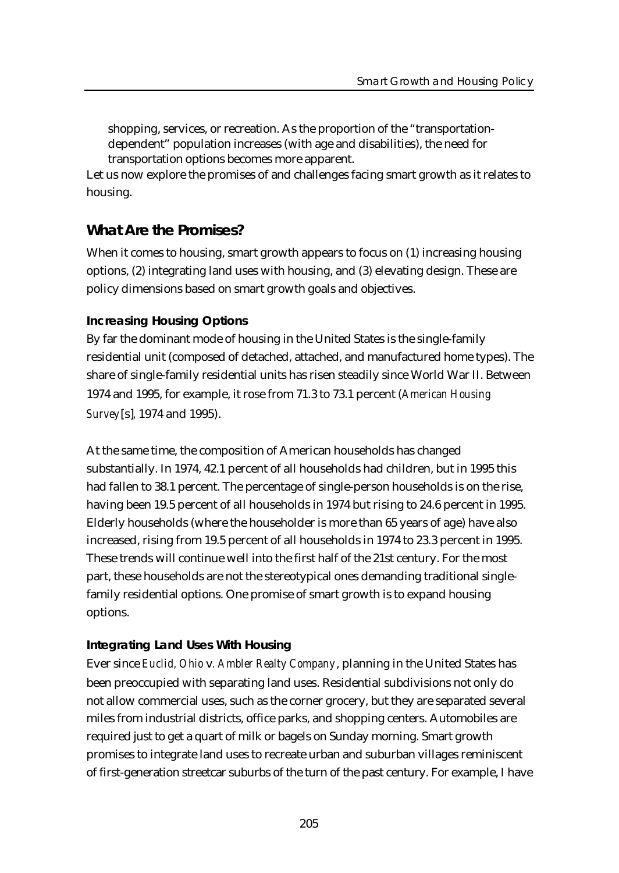shopping, services, or recreation. As the proportion of the "transportationdependent" population increases (with age and disabilities), the need for transportation options becomes more apparent.

Let us now explore the promises of and challenges facing smart growth as it relates to housing.

## **What Are the Promises?**

When it comes to housing, smart growth appears to focus on (1) increasing housing options, (2) integrating land uses with housing, and (3) elevating design. These are policy dimensions based on smart growth goals and objectives.

#### **Increasing Housing Options**

By far the dominant mode of housing in the United States is the single-family residential unit (composed of detached, attached, and manufactured home types). The share of single-family residential units has risen steadily since World War II. Between 1974 and 1995, for example, it rose from 71.3 to 73.1 percent (*American Housing Survey*[s]*,* 1974 and 1995).

At the same time, the composition of American households has changed substantially. In 1974, 42.1 percent of all households had children, but in 1995 this had fallen to 38.1 percent. The percentage of single-person households is on the rise, having been 19.5 percent of all households in 1974 but rising to 24.6 percent in 1995. Elderly households (where the householder is more than 65 years of age) have also increased, rising from 19.5 percent of all households in 1974 to 23.3 percent in 1995. These trends will continue well into the first half of the 21st century. For the most part, these households are not the stereotypical ones demanding traditional singlefamily residential options. One promise of smart growth is to expand housing options.

#### **Integrating Land Uses With Housing**

Ever since *Euclid, Ohio* v*. Ambler Realty Company*, planning in the United States has been preoccupied with separating land uses. Residential subdivisions not only do not allow commercial uses, such as the corner grocery, but they are separated several miles from industrial districts, office parks, and shopping centers. Automobiles are required just to get a quart of milk or bagels on Sunday morning. Smart growth promises to integrate land uses to recreate urban and suburban villages reminiscent of first-generation streetcar suburbs of the turn of the past century. For example, I have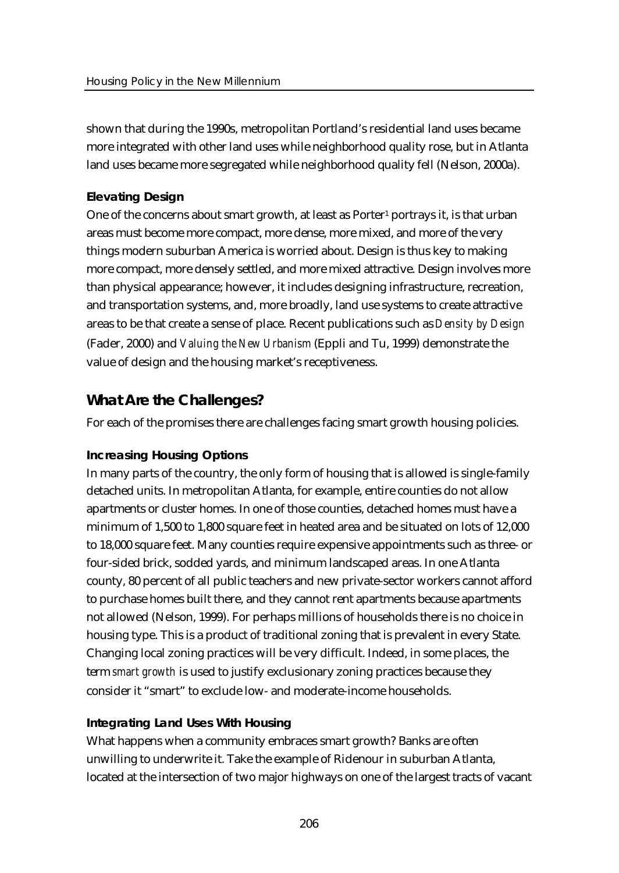shown that during the 1990s, metropolitan Portland's residential land uses became more integrated with other land uses while neighborhood quality rose, but in Atlanta land uses became more segregated while neighborhood quality fell (Nelson, 2000a).

#### **Elevating Design**

One of the concerns about smart growth, at least as Porter<sup>1</sup> portrays it, is that urban areas must become more compact, more dense, more mixed, and more of the very things modern suburban America is worried about. Design is thus key to making more compact, more densely settled, and more mixed attractive. Design involves more than physical appearance; however, it includes designing infrastructure, recreation, and transportation systems, and, more broadly, land use systems to create attractive areas to be that create a sense of place. Recent publications such as *Density by Design* (Fader, 2000) and *Valuing the New Urbanism* (Eppli and Tu, 1999) demonstrate the value of design and the housing market's receptiveness.

## **What Are the Challenges?**

For each of the promises there are challenges facing smart growth housing policies.

#### **Increasing Housing Options**

In many parts of the country, the only form of housing that is allowed is single-family detached units. In metropolitan Atlanta, for example, entire counties do not allow apartments or cluster homes. In one of those counties, detached homes must have a minimum of 1,500 to 1,800 square feet in heated area and be situated on lots of 12,000 to 18,000 square feet. Many counties require expensive appointments such as three- or four-sided brick, sodded yards, and minimum landscaped areas. In one Atlanta county, 80 percent of all public teachers and new private-sector workers cannot afford to purchase homes built there, and they cannot rent apartments because apartments not allowed (Nelson, 1999). For perhaps millions of households there is no choice in housing type. This is a product of traditional zoning that is prevalent in every State. Changing local zoning practices will be very difficult. Indeed, in some places, the term *smart growth* is used to justify exclusionary zoning practices because they consider it "smart" to exclude low- and moderate-income households.

#### **Integrating Land Uses With Housing**

What happens when a community embraces smart growth? Banks are often unwilling to underwrite it. Take the example of Ridenour in suburban Atlanta, located at the intersection of two major highways on one of the largest tracts of vacant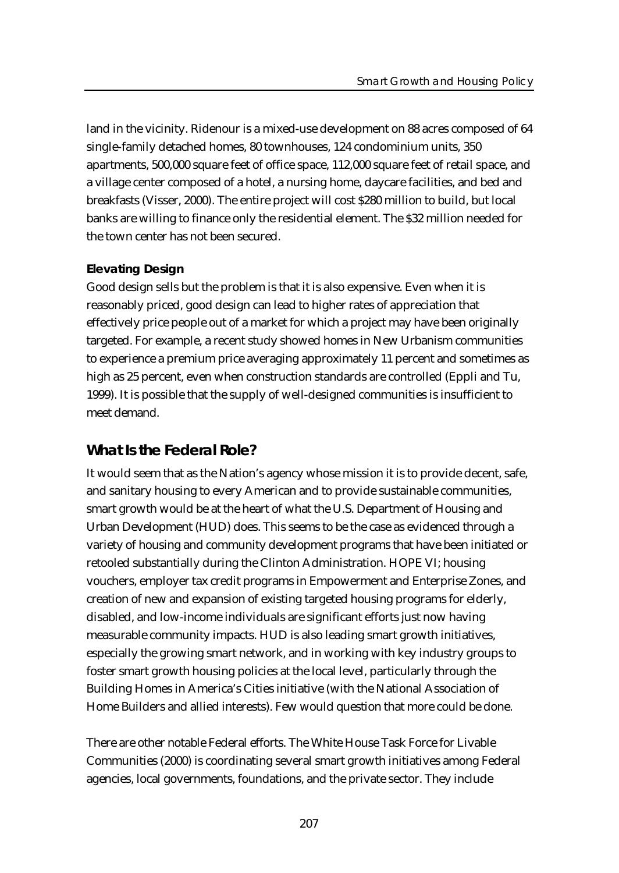land in the vicinity. Ridenour is a mixed-use development on 88 acres composed of 64 single-family detached homes, 80 townhouses, 124 condominium units, 350 apartments, 500,000 square feet of office space, 112,000 square feet of retail space, and a village center composed of a hotel, a nursing home, daycare facilities, and bed and breakfasts (Visser, 2000). The entire project will cost \$280 million to build, but local banks are willing to finance only the residential element. The \$32 million needed for the town center has not been secured.

#### **Elevating Design**

Good design sells but the problem is that it is also expensive. Even when it is reasonably priced, good design can lead to higher rates of appreciation that effectively price people out of a market for which a project may have been originally targeted. For example, a recent study showed homes in New Urbanism communities to experience a premium price averaging approximately 11 percent and sometimes as high as 25 percent, even when construction standards are controlled (Eppli and Tu, 1999). It is possible that the supply of well-designed communities is insufficient to meet demand.

### **What Is the Federal Role?**

It would seem that as the Nation's agency whose mission it is to provide decent, safe, and sanitary housing to every American and to provide sustainable communities, smart growth would be at the heart of what the U.S. Department of Housing and Urban Development (HUD) does. This seems to be the case as evidenced through a variety of housing and community development programs that have been initiated or retooled substantially during the Clinton Administration. HOPE VI; housing vouchers, employer tax credit programs in Empowerment and Enterprise Zones, and creation of new and expansion of existing targeted housing programs for elderly, disabled, and low-income individuals are significant efforts just now having measurable community impacts. HUD is also leading smart growth initiatives, especially the growing smart network, and in working with key industry groups to foster smart growth housing policies at the local level, particularly through the Building Homes in America's Cities initiative (with the National Association of Home Builders and allied interests). Few would question that more could be done.

There are other notable Federal efforts. The White House Task Force for Livable Communities (2000) is coordinating several smart growth initiatives among Federal agencies, local governments, foundations, and the private sector. They include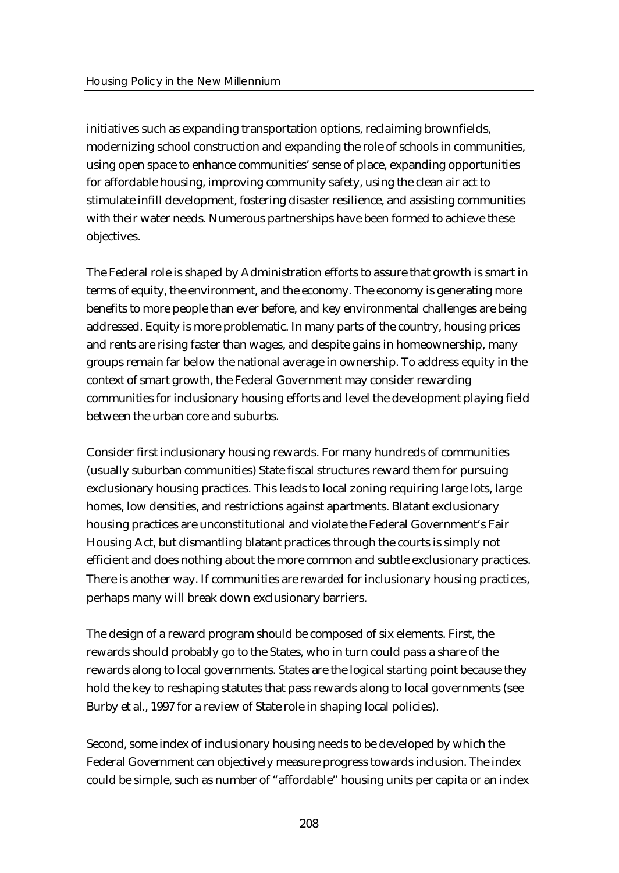initiatives such as expanding transportation options, reclaiming brownfields, modernizing school construction and expanding the role of schools in communities, using open space to enhance communities' sense of place, expanding opportunities for affordable housing, improving community safety, using the clean air act to stimulate infill development, fostering disaster resilience, and assisting communities with their water needs. Numerous partnerships have been formed to achieve these objectives.

The Federal role is shaped by Administration efforts to assure that growth is smart in terms of equity, the environment, and the economy. The economy is generating more benefits to more people than ever before, and key environmental challenges are being addressed. Equity is more problematic. In many parts of the country, housing prices and rents are rising faster than wages, and despite gains in homeownership, many groups remain far below the national average in ownership. To address equity in the context of smart growth, the Federal Government may consider rewarding communities for inclusionary housing efforts and level the development playing field between the urban core and suburbs.

Consider first inclusionary housing rewards. For many hundreds of communities (usually suburban communities) State fiscal structures reward them for pursuing exclusionary housing practices. This leads to local zoning requiring large lots, large homes, low densities, and restrictions against apartments. Blatant exclusionary housing practices are unconstitutional and violate the Federal Government's Fair Housing Act, but dismantling blatant practices through the courts is simply not efficient and does nothing about the more common and subtle exclusionary practices. There is another way. If communities are *rewarded* for inclusionary housing practices, perhaps many will break down exclusionary barriers.

The design of a reward program should be composed of six elements. First, the rewards should probably go to the States, who in turn could pass a share of the rewards along to local governments. States are the logical starting point because they hold the key to reshaping statutes that pass rewards along to local governments (see Burby et al*.*, 1997 for a review of State role in shaping local policies).

Second, some index of inclusionary housing needs to be developed by which the Federal Government can objectively measure progress towards inclusion. The index could be simple, such as number of "affordable" housing units per capita or an index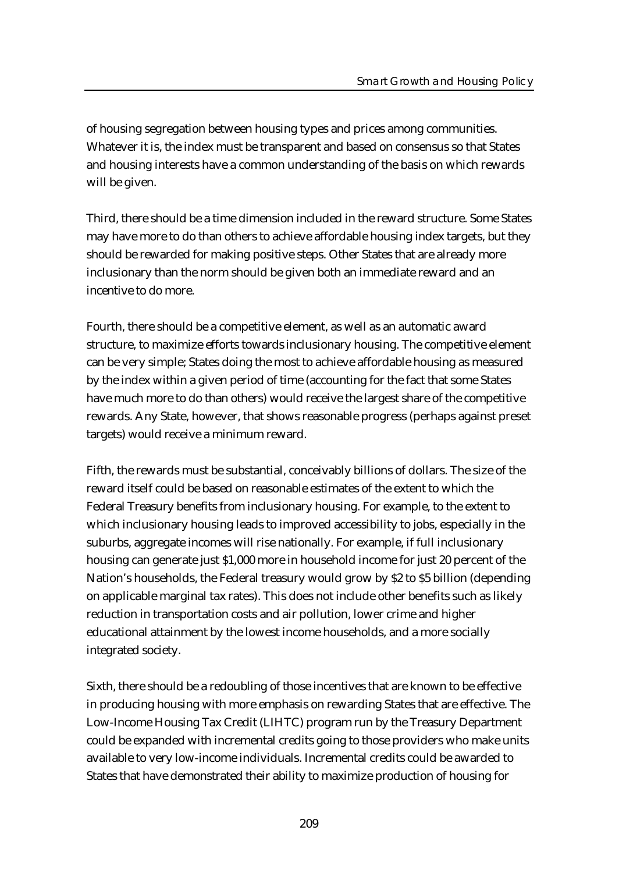of housing segregation between housing types and prices among communities. Whatever it is, the index must be transparent and based on consensus so that States and housing interests have a common understanding of the basis on which rewards will be given.

Third, there should be a time dimension included in the reward structure. Some States may have more to do than others to achieve affordable housing index targets, but they should be rewarded for making positive steps. Other States that are already more inclusionary than the norm should be given both an immediate reward and an incentive to do more.

Fourth, there should be a competitive element, as well as an automatic award structure, to maximize efforts towards inclusionary housing. The competitive element can be very simple; States doing the most to achieve affordable housing as measured by the index within a given period of time (accounting for the fact that some States have much more to do than others) would receive the largest share of the competitive rewards. Any State, however, that shows reasonable progress (perhaps against preset targets) would receive a minimum reward.

Fifth, the rewards must be substantial, conceivably billions of dollars. The size of the reward itself could be based on reasonable estimates of the extent to which the Federal Treasury benefits from inclusionary housing. For example, to the extent to which inclusionary housing leads to improved accessibility to jobs, especially in the suburbs, aggregate incomes will rise nationally. For example, if full inclusionary housing can generate just \$1,000 more in household income for just 20 percent of the Nation's households, the Federal treasury would grow by \$2 to \$5 billion (depending on applicable marginal tax rates). This does not include other benefits such as likely reduction in transportation costs and air pollution, lower crime and higher educational attainment by the lowest income households, and a more socially integrated society.

Sixth, there should be a redoubling of those incentives that are known to be effective in producing housing with more emphasis on rewarding States that are effective. The Low-Income Housing Tax Credit (LIHTC) program run by the Treasury Department could be expanded with incremental credits going to those providers who make units available to very low-income individuals. Incremental credits could be awarded to States that have demonstrated their ability to maximize production of housing for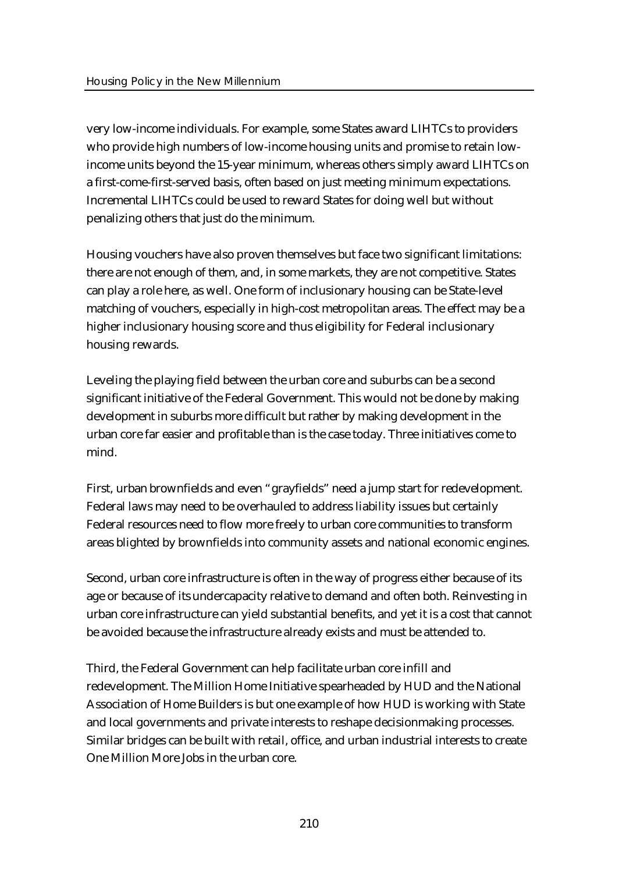very low-income individuals. For example, some States award LIHTCs to providers who provide high numbers of low-income housing units and promise to retain lowincome units beyond the 15-year minimum, whereas others simply award LIHTCs on a first-come-first-served basis, often based on just meeting minimum expectations. Incremental LIHTCs could be used to reward States for doing well but without penalizing others that just do the minimum.

Housing vouchers have also proven themselves but face two significant limitations: there are not enough of them, and, in some markets, they are not competitive. States can play a role here, as well. One form of inclusionary housing can be State-level matching of vouchers, especially in high-cost metropolitan areas. The effect may be a higher inclusionary housing score and thus eligibility for Federal inclusionary housing rewards.

Leveling the playing field between the urban core and suburbs can be a second significant initiative of the Federal Government. This would not be done by making development in suburbs more difficult but rather by making development in the urban core far easier and profitable than is the case today. Three initiatives come to mind.

First, urban brownfields and even "grayfields" need a jump start for redevelopment. Federal laws may need to be overhauled to address liability issues but certainly Federal resources need to flow more freely to urban core communities to transform areas blighted by brownfields into community assets and national economic engines.

Second, urban core infrastructure is often in the way of progress either because of its age or because of its undercapacity relative to demand and often both. Reinvesting in urban core infrastructure can yield substantial benefits, and yet it is a cost that cannot be avoided because the infrastructure already exists and must be attended to.

Third, the Federal Government can help facilitate urban core infill and redevelopment. The Million Home Initiative spearheaded by HUD and the National Association of Home Builders is but one example of how HUD is working with State and local governments and private interests to reshape decisionmaking processes. Similar bridges can be built with retail, office, and urban industrial interests to create One Million More Jobs in the urban core.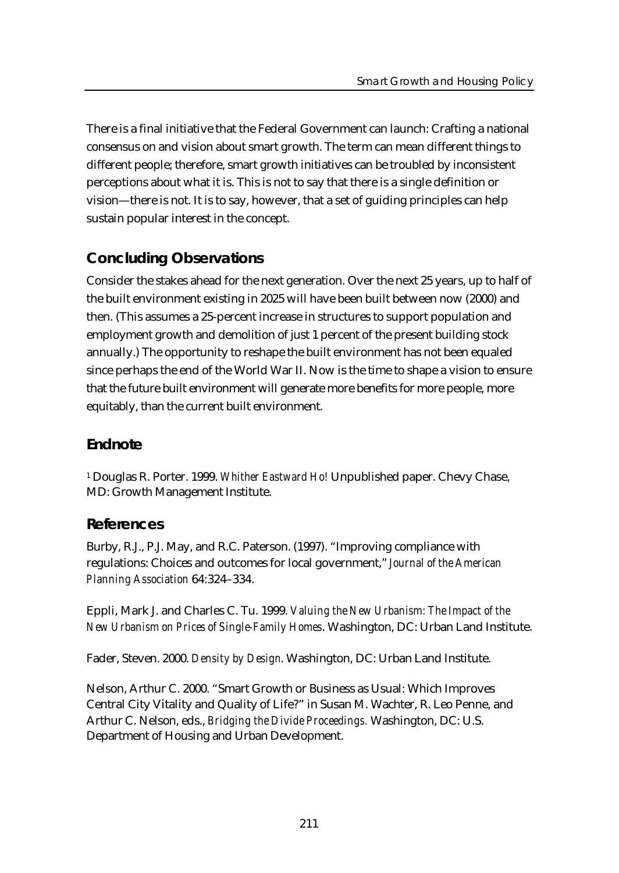There is a final initiative that the Federal Government can launch: Crafting a national consensus on and vision about smart growth. The term can mean different things to different people; therefore, smart growth initiatives can be troubled by inconsistent perceptions about what it is. This is not to say that there is a single definition or vision—there is not. It is to say, however, that a set of guiding principles can help sustain popular interest in the concept.

# **Concluding Observations**

Consider the stakes ahead for the next generation. Over the next 25 years, up to half of the built environment existing in 2025 will have been built between now (2000) and then. (This assumes a 25-percent increase in structures to support population and employment growth and demolition of just 1 percent of the present building stock annually.) The opportunity to reshape the built environment has not been equaled since perhaps the end of the World War II. Now is the time to shape a vision to ensure that the future built environment will generate more benefits for more people, more equitably, than the current built environment.

# **Endnote**

<sup>1</sup> Douglas R. Porter. 1999. *Whither Eastward Ho!* Unpublished paper. Chevy Chase, MD: Growth Management Institute.

# **References**

Burby, R.J., P.J. May, and R.C. Paterson. (1997). "Improving compliance with regulations: Choices and outcomes for local government," *Journal of the American Planning Association* 64:324–334.

Eppli, Mark J. and Charles C. Tu. 1999. *Valuing the New Urbanism: The Impact of the New Urbanism on Prices of Single-Family Homes*. Washington, DC: Urban Land Institute.

Fader, Steven. 2000. *Density by Design*. Washington, DC: Urban Land Institute.

Nelson, Arthur C. 2000. "Smart Growth or Business as Usual: Which Improves Central City Vitality and Quality of Life?" in Susan M. Wachter, R. Leo Penne, and Arthur C. Nelson, eds., *Bridging the Divide Proceedings.* Washington, DC: U.S. Department of Housing and Urban Development.